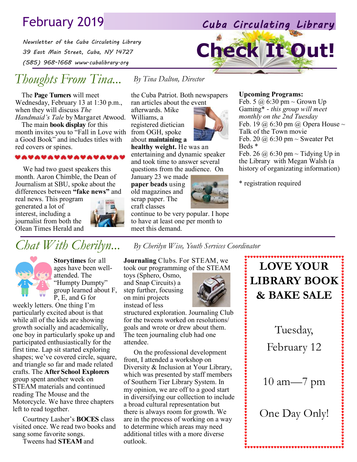# February 2019 *Cuba Circulating Library*

*Newsletter of the Cuba Circulating Library 39 East Main Street, Cuba, NY 14727 (585) 968-1668 www.cubalibrary.org* 

# *Thoughts From Tina...*

The **Page Turners** will meet Wednesday, February 13 at 1:30 p.m., when they will discuss *The Handmaid's Tale* by Margaret Atwood.

The main **book display** for this month invites you to "Fall in Love with a Good Book" and includes titles with red covers or spines.

#### VAVAVAVAVAVAVAVAV

We had two guest speakers this month. Aaron Chimble, the Dean of Journalism at SBU, spoke about the differences between **"fake news"** and

real news. This program generated a lot of interest, including a journalist from both the Olean Times Herald and



the Cuba Patriot. Both newspapers ran articles about the event

*By Tina Dalton, Director*

afterwards. Mike Williams, a registered dietician from OGH, spoke about **maintaining a** 

**healthy weight.** He was an entertaining and dynamic speaker and took time to answer several questions from the audience. On

January 23 we made **paper beads** using old magazines and scrap paper. The craft classes

continue to be very popular. I hope to have at least one per month to meet this demand.

#### **Upcoming Programs:**

**Check It Out!**

Feb. 5  $\omega$  6:30 pm ~ Grown Up Gaming\* - *this group will meet monthly on the 2nd Tuesday* Feb. 19  $\omega$  6:30 pm  $\omega$  Opera House  $\sim$ Talk of the Town movie Feb. 20  $\omega$  6:30 pm  $\sim$  Sweater Pet Beds \*

Feb. 26  $\omega$  6:30 pm ~ Tidying Up in the Library with Megan Walsh (a history of organizating information)

\* registration required



**Storytimes** for all ages have been wellattended. The "Humpty Dumpty" group learned about F, P, E, and G for

weekly letters. One thing I'm particularly excited about is that while all of the kids are showing growth socially and academically, one boy in particularly spoke up and participated enthusiastically for the first time. Lap sit started exploring shapes; we've covered circle, square, and triangle so far and made related crafts. The **After School Explorers**  group spent another week on STEAM materials and continued reading The Mouse and the Motorcycle. We have three chapters left to read together.

Courtney Lasher's **BOCES** class visited once. We read two books and sang some favorite songs.

Tweens had **STEAM** and

*Chat With Cherilyn... By Cherilyn Wise, Youth Services Coordinator*

**Journaling** Clubs. For STEAM, we took our programming of the STEAM

toys (Sphero, Osmo, and Snap Circuits) a step further, focusing on mini projects instead of less



structured exploration. Journaling Club for the tweens worked on resolutions/ goals and wrote or drew about them. The teen journaling club had one attendee.

On the professional development front, I attended a workshop on Diversity & Inclusion at Your Library, which was presented by staff members of Southern Tier Library System. In my opinion, we are off to a good start in diversifying our collection to include a broad cultural representation but there is always room for growth. We are in the process of working on a way to determine which areas may need additional titles with a more diverse outlook.

## **LOVE YOUR LIBRARY BOOK & BAKE SALE**

Tuesday,

February 12

10 am—7 pm

One Day Only!